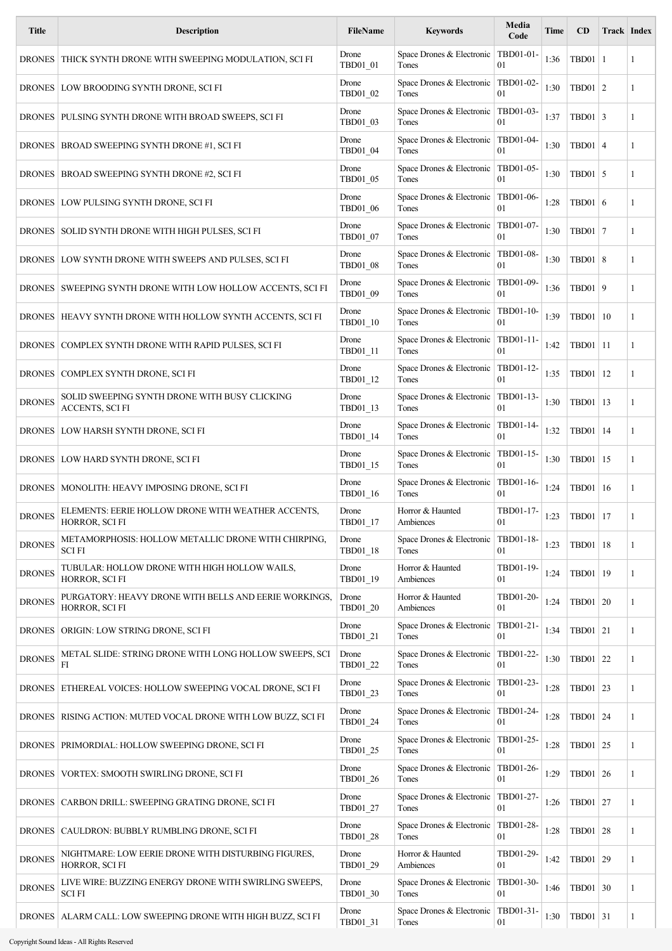| <b>Title</b>  | <b>Description</b>                                                      | <b>FileName</b>              | <b>Keywords</b>                                | Media<br>Code   | Time | CD              | Track Index |   |
|---------------|-------------------------------------------------------------------------|------------------------------|------------------------------------------------|-----------------|------|-----------------|-------------|---|
|               | DRONES   THICK SYNTH DRONE WITH SWEEPING MODULATION, SCI FI             | Drone<br>TBD01_01            | Space Drones & Electronic<br>Tones             | TBD01-01-<br>01 | 1:36 | $TBD01$   1     |             | 1 |
|               | DRONES   LOW BROODING SYNTH DRONE, SCI FI                               | Drone<br>TBD01_02            | Space Drones & Electronic<br>Tones             | TBD01-02-<br>01 | 1:30 | $TBD01$   2     |             | 1 |
|               | DRONES   PULSING SYNTH DRONE WITH BROAD SWEEPS, SCI FI                  | Drone<br>TBD01_03            | Space Drones & Electronic<br>Tones             | TBD01-03-<br>01 | 1:37 | $TBD01$ 3       |             | 1 |
|               | DRONES   BROAD SWEEPING SYNTH DRONE #1, SCI FI                          | Drone<br>TBD01_04            | Space Drones & Electronic   TBD01-04-<br>Tones | 01              | 1:30 | $TBD01 \mid 4$  |             | 1 |
|               | DRONES   BROAD SWEEPING SYNTH DRONE #2, SCI FI                          | Drone<br>TBD01_05            | Space Drones & Electronic<br>Tones             | TBD01-05-<br>01 | 1:30 | $TBD01$ 5       |             | 1 |
|               | DRONES   LOW PULSING SYNTH DRONE, SCI FI                                | Drone<br>TBD01_06            | Space Drones & Electronic   TBD01-06-<br>Tones | 01              | 1:28 | $TBD01$ 6       |             | 1 |
|               | DRONES   SOLID SYNTH DRONE WITH HIGH PULSES, SCI FI                     | Drone<br>TBD01 07            | Space Drones & Electronic   TBD01-07-<br>Tones | 01              | 1:30 | <b>TBD01 7</b>  |             | 1 |
|               | DRONES   LOW SYNTH DRONE WITH SWEEPS AND PULSES, SCI FI                 | Drone<br>TBD01_08            | Space Drones & Electronic   TBD01-08-<br>Tones | 01              | 1:30 | $TBD01 \mid 8$  |             | 1 |
|               | DRONES SWEEPING SYNTH DRONE WITH LOW HOLLOW ACCENTS, SCI FI             | Drone<br>TBD01_09            | Space Drones & Electronic   TBD01-09-<br>Tones | 01              | 1:36 | TBD01 9         |             | 1 |
|               | DRONES   HEAVY SYNTH DRONE WITH HOLLOW SYNTH ACCENTS, SCI FI            | Drone<br>TBD01_10            | Space Drones & Electronic<br>Tones             | TBD01-10-<br>01 | 1:39 | TBD01   10      |             | 1 |
|               | DRONES   COMPLEX SYNTH DRONE WITH RAPID PULSES, SCI FI                  | Drone<br>TBD01_11            | Space Drones & Electronic<br>Tones             | TBD01-11-<br>01 | 1:42 | TBD01   11      |             | 1 |
|               | DRONES   COMPLEX SYNTH DRONE, SCI FI                                    | Drone<br>TBD01_12            | Space Drones & Electronic   TBD01-12-<br>Tones | 01              | 1:35 | TBD01           | 12          | 1 |
| <b>DRONES</b> | SOLID SWEEPING SYNTH DRONE WITH BUSY CLICKING<br>ACCENTS, SCI FI        | Drone<br>TBD01_13            | Space Drones & Electronic   TBD01-13-<br>Tones | 01              | 1:30 | TBD01   13      |             | 1 |
|               | DRONES   LOW HARSH SYNTH DRONE, SCI FI                                  | Drone<br>TBD01_14            | Space Drones & Electronic<br>Tones             | TBD01-14-<br>01 | 1:32 | TBD01   14      |             | 1 |
|               | DRONES   LOW HARD SYNTH DRONE, SCI FI                                   | Drone<br>TBD01_15            | Space Drones & Electronic<br>Tones             | TBD01-15-<br>01 | 1:30 | TBD01   15      |             | 1 |
|               | DRONES   MONOLITH: HEAVY IMPOSING DRONE, SCI FI                         | Drone<br>TBD01 16            | Space Drones & Electronic   TBD01-16-<br>Tones | 01              | 1:24 | TBD01   16      |             | 1 |
| <b>DRONES</b> | ELEMENTS: EERIE HOLLOW DRONE WITH WEATHER ACCENTS,<br>HORROR, SCI FI    | Drone<br>$\text{TBD01}\_1$ 7 | Horror & Haunted<br>Ambiences                  | TBD01-17-<br>01 | 1:23 | TBD01   17      |             | 1 |
| <b>DRONES</b> | METAMORPHOSIS: HOLLOW METALLIC DRONE WITH CHIRPING,<br><b>SCIFI</b>     | Drone<br>TBD01_18            | Space Drones & Electronic   TBD01-18-<br>Tones | 01              | 1:23 | TBD01   18      |             | 1 |
| <b>DRONES</b> | TUBULAR: HOLLOW DRONE WITH HIGH HOLLOW WAILS,<br>HORROR, SCI FI         | Drone<br>TBD01_19            | Horror & Haunted<br>Ambiences                  | TBD01-19-<br>01 | 1:24 | TBD01   19      |             | 1 |
| <b>DRONES</b> | PURGATORY: HEAVY DRONE WITH BELLS AND EERIE WORKINGS,<br>HORROR, SCI FI | Drone<br>TBD01_20            | Horror & Haunted<br>Ambiences                  | TBD01-20-<br>01 | 1:24 | TBD01 20        |             | 1 |
|               | DRONES   ORIGIN: LOW STRING DRONE, SCI FI                               | Drone<br>TBD01_21            | Space Drones & Electronic<br>Tones             | TBD01-21-<br>01 | 1:34 | TBD01 21        |             | 1 |
| <b>DRONES</b> | METAL SLIDE: STRING DRONE WITH LONG HOLLOW SWEEPS, SCI<br>FI            | Drone<br>TBD01_22            | Space Drones & Electronic   TBD01-22-<br>Tones | 01              | 1:30 | TBD01 22        |             | 1 |
|               | DRONES   ETHEREAL VOICES: HOLLOW SWEEPING VOCAL DRONE, SCI FI           | Drone<br>TBD01_23            | Space Drones & Electronic   TBD01-23-<br>Tones | 01              | 1:28 | TBD01 23        |             | 1 |
| <b>DRONES</b> | RISING ACTION: MUTED VOCAL DRONE WITH LOW BUZZ, SCI FI                  | Drone<br>TBD01_24            | Space Drones & Electronic<br>Tones             | TBD01-24-<br>01 | 1:28 | TBD01 24        |             | 1 |
|               | DRONES   PRIMORDIAL: HOLLOW SWEEPING DRONE, SCI FI                      | Drone<br>TBD01_25            | Space Drones & Electronic<br>Tones             | TBD01-25-<br>01 | 1:28 | TBD01 25        |             | 1 |
|               | DRONES   VORTEX: SMOOTH SWIRLING DRONE, SCI FI                          | Drone<br>TBD01_26            | Space Drones & Electronic<br>Tones             | TBD01-26-<br>01 | 1:29 | TBD01 26        |             | 1 |
| <b>DRONES</b> | CARBON DRILL: SWEEPING GRATING DRONE, SCI FI                            | Drone<br>TBD01_27            | Space Drones & Electronic   TBD01-27-<br>Tones | 01              | 1:26 | TBD01   27      |             | 1 |
|               | DRONES   CAULDRON: BUBBLY RUMBLING DRONE, SCI FI                        | Drone<br>TBD01_28            | Space Drones & Electronic<br>Tones             | TBD01-28-<br>01 | 1:28 | <b>TBD01</b> 28 |             | 1 |
| <b>DRONES</b> | NIGHTMARE: LOW EERIE DRONE WITH DISTURBING FIGURES,<br>HORROR, SCI FI   | Drone<br>TBD01_29            | Horror & Haunted<br>Ambiences                  | TBD01-29-<br>01 | 1:42 | TBD01 29        |             | 1 |
| <b>DRONES</b> | LIVE WIRE: BUZZING ENERGY DRONE WITH SWIRLING SWEEPS,<br><b>SCIFI</b>   | Drone<br>TBD01_30            | Space Drones & Electronic<br>Tones             | TBD01-30-<br>01 | 1:46 | TBD01 30        |             | 1 |
| <b>DRONES</b> | ALARM CALL: LOW SWEEPING DRONE WITH HIGH BUZZ, SCI FI                   | Drone<br>TBD01_31            | Space Drones & Electronic   TBD01-31-<br>Tones | 01              | 1:30 | TBD01 31        |             | 1 |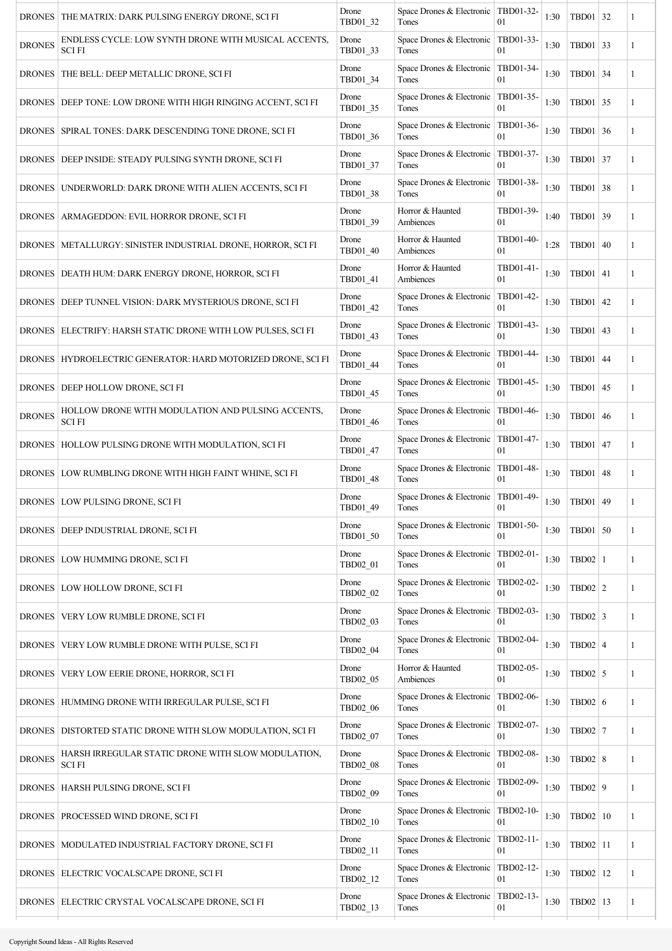|               | DRONES   THE MATRIX: DARK PULSING ENERGY DRONE, SCI FI               | Drone<br>TBD01_32 | Space Drones & Electronic   TBD01-32-<br>Tones | 01              | 1:30 | TBD01 32        | 1            |
|---------------|----------------------------------------------------------------------|-------------------|------------------------------------------------|-----------------|------|-----------------|--------------|
| <b>DRONES</b> | ENDLESS CYCLE: LOW SYNTH DRONE WITH MUSICAL ACCENTS,<br><b>SCIFI</b> | Drone<br>TBD01_33 | Space Drones & Electronic<br>Tones             | TBD01-33-<br>01 | 1:30 | TBD01 33        | 1            |
|               | DRONES   THE BELL: DEEP METALLIC DRONE, SCI FI                       | Drone<br>TBD01_34 | Space Drones & Electronic<br>Tones             | TBD01-34-<br>01 | 1:30 | TBD01 34        | 1            |
| <b>DRONES</b> | DEEP TONE: LOW DRONE WITH HIGH RINGING ACCENT, SCI FI                | Drone<br>TBD01_35 | Space Drones & Electronic<br>Tones             | TBD01-35-<br>01 | 1:30 | TBD01 35        | 1            |
|               | DRONES   SPIRAL TONES: DARK DESCENDING TONE DRONE, SCI FI            | Drone<br>TBD01 36 | Space Drones & Electronic<br>Tones             | TBD01-36-<br>01 | 1:30 | TBD01 36        | 1            |
|               | DRONES   DEEP INSIDE: STEADY PULSING SYNTH DRONE, SCI FI             | Drone<br>TBD01_37 | Space Drones & Electronic<br>Tones             | TBD01-37-<br>01 | 1:30 | TBD01 37        | 1            |
|               | DRONES   UNDERWORLD: DARK DRONE WITH ALIEN ACCENTS, SCI FI           | Drone<br>TBD01_38 | Space Drones & Electronic<br>Tones             | TBD01-38-<br>01 | 1:30 | TBD01 38        | 1            |
|               | DRONES   ARMAGEDDON: EVIL HORROR DRONE, SCI FI                       | Drone<br>TBD01_39 | Horror & Haunted<br>Ambiences                  | TBD01-39-<br>01 | 1:40 | TBD01 39        | $\mathbf{1}$ |
|               | DRONES   METALLURGY: SINISTER INDUSTRIAL DRONE, HORROR, SCI FI       | Drone<br>TBD01_40 | Horror & Haunted<br>Ambiences                  | TBD01-40-<br>01 | 1:28 | TBD01 40        | 1            |
|               | DRONES   DEATH HUM: DARK ENERGY DRONE, HORROR, SCI FI                | Drone<br>TBD01_41 | Horror & Haunted<br>Ambiences                  | TBD01-41-<br>01 | 1:30 | TBD01 41        | 1            |
|               | DRONES   DEEP TUNNEL VISION: DARK MYSTERIOUS DRONE, SCI FI           | Drone<br>TBD01_42 | Space Drones & Electronic<br>Tones             | TBD01-42-<br>01 | 1:30 | TBD01 42        | 1            |
|               | DRONES   ELECTRIFY: HARSH STATIC DRONE WITH LOW PULSES, SCI FI       | Drone<br>TBD01_43 | Space Drones & Electronic<br>Tones             | TBD01-43-<br>01 | 1:30 | TBD01 43        | 1            |
|               | DRONES   HYDROELECTRIC GENERATOR: HARD MOTORIZED DRONE, SCI FI       | Drone<br>TBD01_44 | Space Drones & Electronic<br>Tones             | TBD01-44-<br>01 | 1:30 | TBD01 44        | 1            |
|               | DRONES   DEEP HOLLOW DRONE, SCI FI                                   | Drone<br>TBD01_45 | Space Drones & Electronic<br>Tones             | TBD01-45-<br>01 | 1:30 | TBD01 45        | 1            |
| <b>DRONES</b> | HOLLOW DRONE WITH MODULATION AND PULSING ACCENTS,<br><b>SCIFI</b>    | Drone<br>TBD01_46 | Space Drones & Electronic<br>Tones             | TBD01-46-<br>01 | 1:30 | TBD01 46        | 1            |
|               | DRONES   HOLLOW PULSING DRONE WITH MODULATION, SCI FI                | Drone<br>TBD01_47 | Space Drones & Electronic<br>Tones             | TBD01-47-<br>01 | 1:30 | TBD01 47        | 1            |
|               | DRONES   LOW RUMBLING DRONE WITH HIGH FAINT WHINE, SCI FI            | Drone<br>TBD01_48 | Space Drones & Electronic<br>Tones             | TBD01-48-<br>01 | 1:30 | TBD01 48        | 1            |
|               | DRONES LOW PULSING DRONE, SCI FI                                     | Drone<br>TBD01_49 | Space Drones & Electronic   TBD01-49-<br>Tones | 01              | 1:30 | TBD01 49        | 1            |
|               | DRONES   DEEP INDUSTRIAL DRONE, SCI FI                               | Drone<br>TBD01_50 | Space Drones & Electronic   TBD01-50-<br>Tones | 01              | 1:30 | $TBD01$ 50      | $\mathbf{1}$ |
|               | DRONES   LOW HUMMING DRONE, SCI FI                                   | Drone<br>TBD02 01 | Space Drones & Electronic<br>Tones             | TBD02-01-<br>01 | 1:30 | $TBD02$   1     | $\mathbf{1}$ |
|               | DRONES   LOW HOLLOW DRONE, SCI FI                                    | Drone<br>TBD02_02 | Space Drones & Electronic<br>Tones             | TBD02-02-<br>01 | 1:30 | $TBD02$ 2       | 1            |
|               | DRONES   VERY LOW RUMBLE DRONE, SCI FI                               | Drone<br>TBD02_03 | Space Drones & Electronic<br>Tones             | TBD02-03-<br>01 | 1:30 | $TBD02$ 3       | $\mathbf{1}$ |
|               | DRONES   VERY LOW RUMBLE DRONE WITH PULSE, SCI FI                    | Drone<br>TBD02_04 | Space Drones & Electronic<br>Tones             | TBD02-04-<br>01 | 1:30 | TBD02 4         | 1            |
|               | DRONES   VERY LOW EERIE DRONE, HORROR, SCI FI                        | Drone<br>TBD02_05 | Horror & Haunted<br>Ambiences                  | TBD02-05-<br>01 | 1:30 | $TBD02$ 5       | 1            |
|               | DRONES   HUMMING DRONE WITH IRREGULAR PULSE, SCI FI                  | Drone<br>TBD02_06 | Space Drones & Electronic<br>Tones             | TBD02-06-<br>01 | 1:30 | TBD02 $\vert$ 6 | $\mathbf{1}$ |
|               | DRONES   DISTORTED STATIC DRONE WITH SLOW MODULATION, SCI FI         | Drone<br>TBD02_07 | Space Drones & Electronic<br>Tones             | TBD02-07-<br>01 | 1:30 | <b>TBD02</b> 7  | $\mathbf{1}$ |
| <b>DRONES</b> | HARSH IRREGULAR STATIC DRONE WITH SLOW MODULATION,<br><b>SCIFI</b>   | Drone<br>TBD02_08 | Space Drones & Electronic<br>Tones             | TBD02-08-<br>01 | 1:30 | $TBD02$ 8       | $\mathbf{1}$ |
|               | DRONES   HARSH PULSING DRONE, SCI FI                                 | Drone<br>TBD02_09 | Space Drones & Electronic<br>Tones             | TBD02-09-<br>01 | 1:30 | $TBD02$   9     | 1            |
|               | DRONES   PROCESSED WIND DRONE, SCI FI                                | Drone<br>TBD02_10 | Space Drones & Electronic<br>Tones             | TBD02-10-<br>01 | 1:30 | TBD02   10      | 1            |
|               | DRONES   MODULATED INDUSTRIAL FACTORY DRONE, SCI FI                  | Drone<br>TBD02_11 | Space Drones & Electronic<br>Tones             | TBD02-11-<br>01 | 1:30 | TBD02   11      | 1            |
|               | DRONES   ELECTRIC VOCALSCAPE DRONE, SCI FI                           | Drone<br>TBD02_12 | Space Drones & Electronic<br>Tones             | TBD02-12-<br>01 | 1:30 | TBD02   12      | 1            |
|               | DRONES   ELECTRIC CRYSTAL VOCALSCAPE DRONE, SCI FI                   | Drone<br>TBD02_13 | Space Drones & Electronic<br>Tones             | TBD02-13-<br>01 | 1:30 | TBD02   13      | 1            |
|               |                                                                      |                   |                                                |                 |      |                 |              |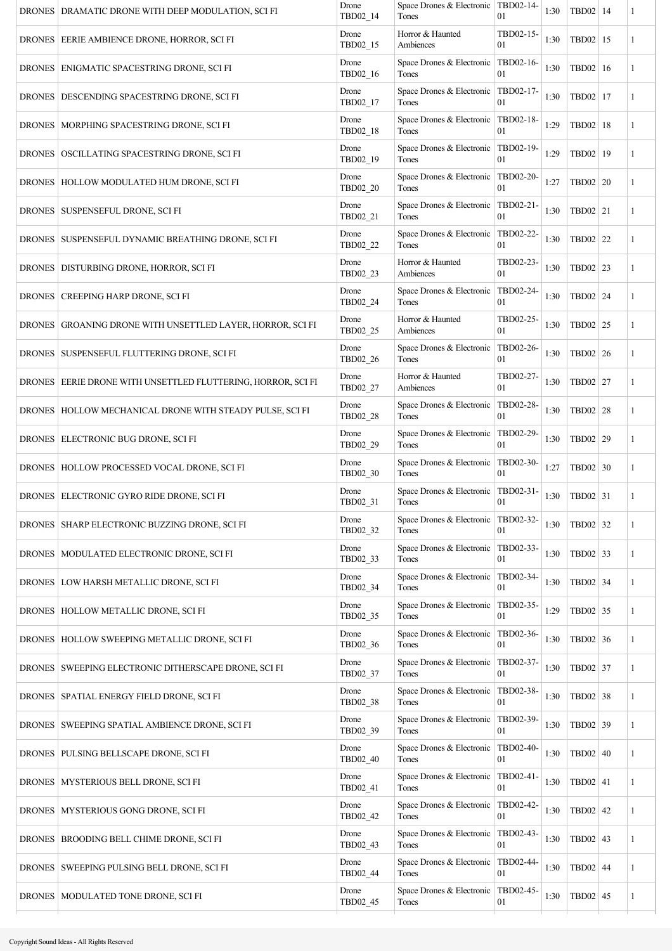| DRONES   DRAMATIC DRONE WITH DEEP MODULATION, SCI FI           | Drone<br>TBD02 14 | Space Drones & Electronic   TBD02-14-<br>Tones | 01                          | 1:30 | TBD02   14      | 1            |
|----------------------------------------------------------------|-------------------|------------------------------------------------|-----------------------------|------|-----------------|--------------|
| DRONES   EERIE AMBIENCE DRONE, HORROR, SCI FI                  | Drone<br>TBD02_15 | Horror & Haunted<br>Ambiences                  | TBD02-15-<br>01             | 1:30 | TBD02   15      | 1            |
| DRONES   ENIGMATIC SPACESTRING DRONE, SCI FI                   | Drone<br>TBD02_16 | Space Drones & Electronic   TBD02-16-<br>Tones | 01                          | 1:30 | TBD02   16      | 1            |
| DRONES   DESCENDING SPACESTRING DRONE, SCI FI                  | Drone<br>TBD02_17 | Space Drones & Electronic   TBD02-17-<br>Tones | 01                          | 1:30 | TBD02   17      | $\mathbf{1}$ |
| DRONES   MORPHING SPACESTRING DRONE, SCI FI                    | Drone<br>TBD02_18 | Space Drones & Electronic<br>Tones             | TBD02-18-<br>01             | 1:29 | TBD02   18      | 1            |
| DRONES   OSCILLATING SPACESTRING DRONE, SCI FI                 | Drone<br>TBD02_19 | Space Drones & Electronic<br>Tones             | TBD02-19-<br>01             | 1:29 | TBD02   19      | 1            |
| DRONES   HOLLOW MODULATED HUM DRONE, SCI FI                    | Drone<br>TBD02_20 | Space Drones & Electronic<br>Tones             | TBD02-20-<br>0 <sub>1</sub> | 1:27 | TBD02   20      | 1            |
| DRONES   SUSPENSEFUL DRONE, SCI FI                             | Drone<br>TBD02_21 | Space Drones & Electronic<br>Tones             | TBD02-21-<br>01             | 1:30 | TBD02 21        | 1            |
| DRONES   SUSPENSEFUL DYNAMIC BREATHING DRONE, SCI FI           | Drone<br>TBD02_22 | Space Drones & Electronic<br>Tones             | TBD02-22-<br>01             | 1:30 | TBD02 22        | 1            |
| DRONES   DISTURBING DRONE, HORROR, SCI FI                      | Drone<br>TBD02_23 | Horror & Haunted<br>Ambiences                  | TBD02-23-<br>01             | 1:30 | TBD02 23        | 1            |
| DRONES   CREEPING HARP DRONE, SCI FI                           | Drone<br>TBD02_24 | Space Drones & Electronic<br>Tones             | TBD02-24-<br>01             | 1:30 | TBD02 24        | $\mathbf{1}$ |
| DRONES GROANING DRONE WITH UNSETTLED LAYER, HORROR, SCI FI     | Drone<br>TBD02_25 | Horror & Haunted<br>Ambiences                  | TBD02-25-<br>0 <sub>1</sub> | 1:30 | TBD02 25        | 1            |
| DRONES   SUSPENSEFUL FLUTTERING DRONE, SCI FI                  | Drone<br>TBD02_26 | Space Drones & Electronic<br>Tones             | TBD02-26-<br>01             | 1:30 | TBD02 26        | 1            |
| DRONES   EERIE DRONE WITH UNSETTLED FLUTTERING, HORROR, SCI FI | Drone<br>TBD02_27 | Horror & Haunted<br>Ambiences                  | TBD02-27-<br>01             | 1:30 | TBD02 27        | 1            |
| DRONES   HOLLOW MECHANICAL DRONE WITH STEADY PULSE, SCI FI     | Drone<br>TBD02_28 | Space Drones & Electronic<br>Tones             | TBD02-28-<br>01             | 1:30 | TBD02 28        | 1            |
| DRONES   ELECTRONIC BUG DRONE, SCI FI                          | Drone<br>TBD02_29 | Space Drones & Electronic<br>Tones             | TBD02-29-<br>01             | 1:30 | TBD02 29        | 1            |
| DRONES   HOLLOW PROCESSED VOCAL DRONE, SCI FI                  | Drone<br>TBD02 30 | Space Drones & Electronic   TBD02-30-<br>Tones | 0 <sub>1</sub>              | 1:27 | TBD02 30        | 1            |
| DRONES   ELECTRONIC GYRO RIDE DRONE, SCI FI                    | Drone<br>TBD02_31 | Space Drones & Electronic   TBD02-31-<br>Tones | 01                          | 1:30 | TBD02 31        | 1            |
| DRONES   SHARP ELECTRONIC BUZZING DRONE, SCI FI                | Drone<br>TBD02_32 | Space Drones & Electronic   TBD02-32-<br>Tones | 01                          | 1:30 | TBD02 32        | 1            |
| DRONES   MODULATED ELECTRONIC DRONE, SCI FI                    | Drone<br>TBD02_33 | Space Drones & Electronic<br>Tones             | TBD02-33-<br>01             | 1:30 | TBD02 33        | $\mathbf{1}$ |
| DRONES   LOW HARSH METALLIC DRONE, SCI FI                      | Drone<br>TBD02_34 | Space Drones & Electronic<br>Tones             | TBD02-34-<br>01             | 1:30 | TBD02 34        | 1            |
| DRONES   HOLLOW METALLIC DRONE, SCI FI                         | Drone<br>TBD02_35 | Space Drones & Electronic<br>Tones             | TBD02-35-<br>01             | 1:29 | TBD02 35        | 1            |
| DRONES   HOLLOW SWEEPING METALLIC DRONE, SCI FI                | Drone<br>TBD02_36 | Space Drones & Electronic<br>Tones             | TBD02-36-<br>01             | 1:30 | TBD02 36        | $\mathbf{1}$ |
| DRONES   SWEEPING ELECTRONIC DITHERSCAPE DRONE, SCI FI         | Drone<br>TBD02_37 | Space Drones & Electronic<br>Tones             | TBD02-37-<br>01             | 1:30 | TBD02 37        | 1            |
| DRONES   SPATIAL ENERGY FIELD DRONE, SCI FI                    | Drone<br>TBD02 38 | Space Drones & Electronic<br>Tones             | TBD02-38-<br>01             | 1:30 | TBD02 38        | $\mathbf{1}$ |
| DRONES   SWEEPING SPATIAL AMBIENCE DRONE, SCI FI               | Drone<br>TBD02_39 | Space Drones & Electronic<br>Tones             | TBD02-39-<br>01             | 1:30 | TBD02 39        | 1            |
| DRONES   PULSING BELLSCAPE DRONE, SCI FI                       | Drone<br>TBD02_40 | Space Drones & Electronic   TBD02-40-<br>Tones | 01                          | 1:30 | TBD02   40      | $\mathbf{1}$ |
| DRONES   MYSTERIOUS BELL DRONE, SCI FI                         | Drone<br>TBD02_41 | Space Drones & Electronic<br>Tones             | TBD02-41-<br>01             | 1:30 | TBD02   41      | 1            |
| DRONES   MYSTERIOUS GONG DRONE, SCI FI                         | Drone<br>TBD02_42 | Space Drones & Electronic<br>Tones             | TBD02-42-<br>01             | 1:30 | TBD02 42        | 1            |
| DRONES   BROODING BELL CHIME DRONE, SCI FI                     | Drone<br>TBD02_43 | Space Drones & Electronic<br>Tones             | TBD02-43-<br>01             | 1:30 | TBD02 43        | $\mathbf{1}$ |
| DRONES   SWEEPING PULSING BELL DRONE, SCI FI                   | Drone<br>TBD02_44 | Space Drones & Electronic<br>Tones             | TBD02-44-<br>01             | 1:30 | <b>TBD02 44</b> | 1            |
| DRONES   MODULATED TONE DRONE, SCI FI                          | Drone<br>TBD02 45 | Space Drones & Electronic<br>Tones             | TBD02-45-<br>01             | 1:30 | TBD02 45        | 1            |
|                                                                |                   |                                                |                             |      |                 |              |